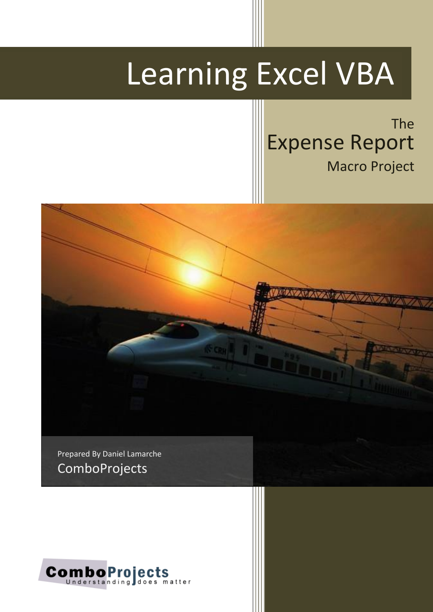# Learning Excel VBA

The Expense Report Macro Project



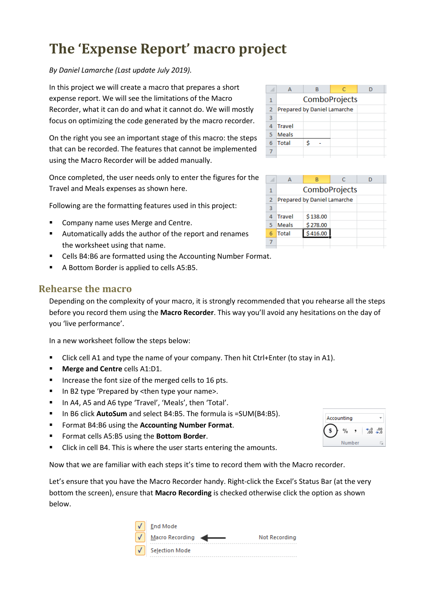# **The 'Expense Report' macro project**

*By Daniel Lamarche (Last update July 2019).*

In this project we will create a macro that prepares a short expense report. We will see the limitations of the Macro Recorder, what it can do and what it cannot do. We will mostly focus on optimizing the code generated by the macro recorder.

On the right you see an important stage of this macro: the steps that can be recorded. The features that cannot be implemented using the Macro Recorder will be added manually.

Once completed, the user needs only to enter the figures for the Travel and Meals expenses as shown here.

Following are the formatting features used in this project:

- Company name uses Merge and Centre.
- Automatically adds the author of the report and renames the worksheet using that name.
- Cells B4:B6 are formatted using the Accounting Number Format.
- A Bottom Border is applied to cells A5:B5.

# **Rehearse the macro**

Depending on the complexity of your macro, it is strongly recommended that you rehearse all the steps before you record them using the **Macro Recorder**. This way you'll avoid any hesitations on the day of you 'live performance'.

In a new worksheet follow the steps below:

- Click cell A1 and type the name of your company. Then hit Ctrl+Enter (to stay in A1).
- **Merge and Centre** cells A1:D1.
- Increase the font size of the merged cells to 16 pts.
- In B2 type 'Prepared by <then type your name>.
- In A4, A5 and A6 type 'Travel', 'Meals', then 'Total'.
- In B6 click **AutoSum** and select B4:B5. The formula is =SUM(B4:B5).
- Format B4:B6 using the **Accounting Number Format**.
- Format cells A5:B5 using the **Bottom Border**.
- Click in cell B4. This is where the user starts entering the amounts.

Now that we are familiar with each steps it's time to record them with the Macro recorder.

Let's ensure that you have the Macro Recorder handy. Right-click the Excel's Status Bar (at the very bottom the screen), ensure that **Macro Recording** is checked otherwise click the option as shown below.

| <b>End Mode</b>                  |
|----------------------------------|
| Macro Recording<br>Not Recording |
| <b>Selection Mode</b>            |

|               | в | c |                             |  |
|---------------|---|---|-----------------------------|--|
| ComboProjects |   |   |                             |  |
|               |   |   |                             |  |
|               |   |   |                             |  |
| <b>Travel</b> |   |   |                             |  |
| <b>Meals</b>  |   |   |                             |  |
| <b>Total</b>  |   |   |                             |  |
|               |   |   |                             |  |
|               |   |   | Prepared by Daniel Lamarche |  |

|                |               | R                           | c |  |  |  |
|----------------|---------------|-----------------------------|---|--|--|--|
| 1              | ComboProjects |                             |   |  |  |  |
| $\overline{2}$ |               | Prepared by Daniel Lamarche |   |  |  |  |
| 3              |               |                             |   |  |  |  |
|                | Travel        | \$138.00                    |   |  |  |  |
| 5              | Meals         | \$278.00                    |   |  |  |  |
| 6              | Total         | 16.00                       |   |  |  |  |
|                |               |                             |   |  |  |  |

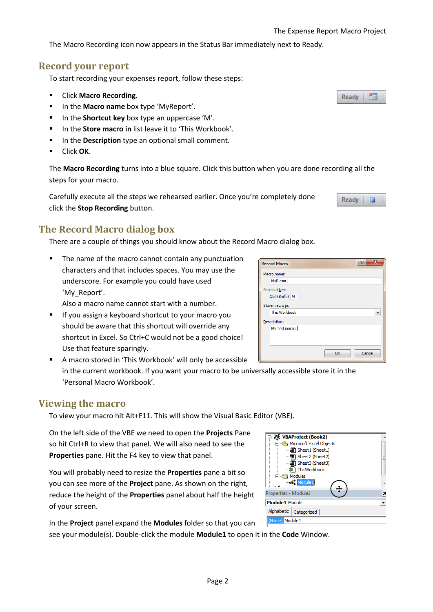The Macro Recording icon now appears in the Status Bar immediately next to Ready.

# **Record your report**

To start recording your expenses report, follow these steps:

- Click **Macro Recording**.
- In the **Macro name** box type 'MyReport'.
- In the **Shortcut key** box type an uppercase 'M'.
- In the **Store macro in** list leave it to 'This Workbook'.
- In the **Description** type an optional small comment.
- Click **OK**.

The **Macro Recording** turns into a blue square. Click this button when you are done recording all the steps for your macro.

Carefully execute all the steps we rehearsed earlier. Once you're completely done click the **Stop Recording** button.

# **The Record Macro dialog box**

There are a couple of things you should know about the Record Macro dialog box.

**The name of the macro cannot contain any punctuation** characters and that includes spaces. You may use the underscore. For example you could have used 'My Report'.

Also a macro name cannot start with a number.

- **If you assign a keyboard shortcut to your macro you** should be aware that this shortcut will override any shortcut in Excel. So Ctrl+C would not be a good choice! Use that feature sparingly.
- A macro stored in 'This Workbook' will only be accessible in the current workbook. If you want your macro to be universally accessible store it in the 'Personal Macro Workbook'.

# **Viewing the macro**

To view your macro hit Alt+F11. This will show the Visual Basic Editor (VBE).

On the left side of the VBE we need to open the **Projects** Pane so hit Ctrl+R to view that panel. We will also need to see the **Properties** pane. Hit the F4 key to view that panel.

You will probably need to resize the **Properties** pane a bit so you can see more of the **Project** pane. As shown on the right, reduce the height of the **Properties** panel about half the height of your screen.

In the **Project** panel expand the **Modules** folder so that you can

see your module(s). Double-click the module **Module1** to open it in the **Code** Window.

| 器 VBAProject (Book2)     |   |  |
|--------------------------|---|--|
| Microsoft Excel Objects  |   |  |
| Sheet1 (Sheet1)          |   |  |
| 图1 Sheet2 (Sheet2)       | Ξ |  |
| <b>图 Sheet3 (Sheet3)</b> |   |  |
| ThisWorkbook             |   |  |
| Modules                  |   |  |
| Module 1                 |   |  |
|                          |   |  |
| Properties - Module1     |   |  |
| Module1 Module           |   |  |
| Alphabetic   Categorized |   |  |
| (Name) Module 1          |   |  |
|                          |   |  |

| 2<br>$\overline{\mathbf{x}}$<br><b>Record Macro</b> |
|-----------------------------------------------------|
| Macro name:                                         |
| MyReport                                            |
| Shortcut key:                                       |
| Ctrl+Shift+ M                                       |
| Store macro in:                                     |
| This Workbook                                       |
| Description:                                        |
| My first macro.                                     |
| Cancel<br>OK                                        |

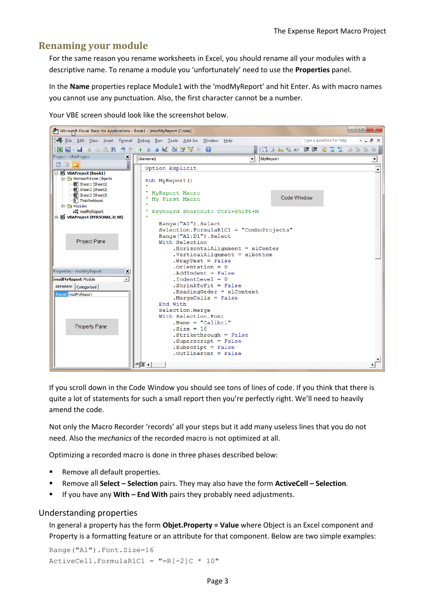## **Renaming your module**

For the same reason you rename worksheets in Excel, you should rename all your modules with a descriptive name. To rename a module you 'unfortunately' need to use the **Properties** panel.

In the **Name** properties replace Module1 with the 'modMyReport' and hit Enter. As with macro names you cannot use any punctuation. Also, the first character cannot be a number.

Your VBE screen should look like the screenshot below.



If you scroll down in the Code Window you should see tons of lines of code. If you think that there is quite a lot of statements for such a small report then you're perfectly right. We'll need to heavily amend the code.

Not only the Macro Recorder 'records' all your steps but it add many useless lines that you do not need. Also the *mechanics* of the recorded macro is not optimized at all.

Optimizing a recorded macro is done in three phases described below:

- Remove all default properties.
- Remove all **Select – Selection** pairs. They may also have the form **ActiveCell – Selection**.
- If you have any **With – End With** pairs they probably need adjustments.

#### Understanding properties

In general a property has the form **Objet.Property = Value** where Object is an Excel component and Property is a formatting feature or an attribute for that component. Below are two simple examples:

Range("A1").Font.Size=16  $ActiveCell.FormalCl = " = R[-2]C * 10"$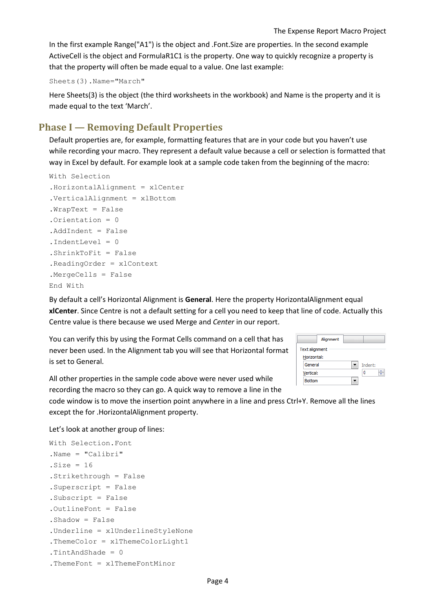In the first example Range("A1") is the object and .Font.Size are properties. In the second example ActiveCell is the object and FormulaR1C1 is the property. One way to quickly recognize a property is that the property will often be made equal to a value. One last example:

Sheets(3).Name="March"

Here Sheets(3) is the object (the third worksheets in the workbook) and Name is the property and it is made equal to the text 'March'.

# **Phase I — Removing Default Properties**

Default properties are, for example, formatting features that are in your code but you haven't use while recording your macro. They represent a default value because a cell or selection is formatted that way in Excel by default. For example look at a sample code taken from the beginning of the macro:

```
With Selection
.HorizontalAlignment = xlCenter
.VerticalAlignment = xlBottom
.WrapText = False
.Orientation = 0
.AddIndent = False
.IndentLevel = 0
.ShrinkToFit = False
.ReadingOrder = xlContext
.MergeCells = False
End With
```
By default a cell's Horizontal Alignment is **General**. Here the property HorizontalAlignment equal **xlCenter**. Since Centre is not a default setting for a cell you need to keep that line of code. Actually this Centre value is there because we used Merge and *Center* in our report.

You can verify this by using the Format Cells command on a cell that has never been used. In the Alignment tab you will see that Horizontal format is set to General.

| Alignment      |         |  |  |  |
|----------------|---------|--|--|--|
| Text alignment |         |  |  |  |
| Horizontal:    |         |  |  |  |
| General        | Indent: |  |  |  |
| Vertical:      | Ω       |  |  |  |
| <b>Bottom</b>  |         |  |  |  |

All other properties in the sample code above were never used while recording the macro so they can go. A quick way to remove a line in the

code window is to move the insertion point anywhere in a line and press Ctrl+Y. Remove all the lines except the for .HorizontalAlignment property.

Let's look at another group of lines:

```
With Selection.Font
.Name = "Calibri"
.Size = 16.Strikethrough = False
.Superscript = False
.Subscript = False
.OutlineFont = False
.Shadow = False
.Underline = xlUnderlineStyleNone
.ThemeColor = xlThemeColorLight1
.TintAndShade = 0
.ThemeFont = xlThemeFontMinor
```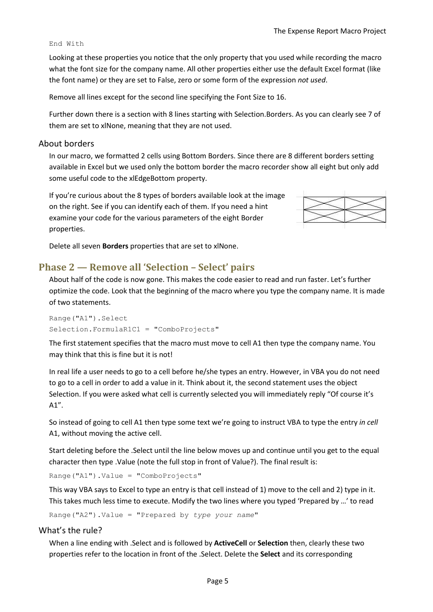#### End With

Looking at these properties you notice that the only property that you used while recording the macro what the font size for the company name. All other properties either use the default Excel format (like the font name) or they are set to False, zero or some form of the expression *not used*.

Remove all lines except for the second line specifying the Font Size to 16.

Further down there is a section with 8 lines starting with Selection.Borders. As you can clearly see 7 of them are set to xlNone, meaning that they are not used.

#### About borders

In our macro, we formatted 2 cells using Bottom Borders. Since there are 8 different borders setting available in Excel but we used only the bottom border the macro recorder show all eight but only add some useful code to the xlEdgeBottom property.

If you're curious about the 8 types of borders available look at the image on the right. See if you can identify each of them. If you need a hint examine your code for the various parameters of the eight Border properties.



Delete all seven **Borders** properties that are set to xlNone.

# **Phase 2 — Remove all 'Selection – Select' pairs**

About half of the code is now gone. This makes the code easier to read and run faster. Let's further optimize the code. Look that the beginning of the macro where you type the company name. It is made of two statements.

```
Range("A1").Select
Selection.FormulaR1C1 = "ComboProjects"
```
The first statement specifies that the macro must move to cell A1 then type the company name. You may think that this is fine but it is not!

In real life a user needs to go to a cell before he/she types an entry. However, in VBA you do not need to go to a cell in order to add a value in it. Think about it, the second statement uses the object Selection. If you were asked what cell is currently selected you will immediately reply "Of course it's A1".

So instead of going to cell A1 then type some text we're going to instruct VBA to type the entry *in cell* A1, without moving the active cell.

Start deleting before the .Select until the line below moves up and continue until you get to the equal character then type .Value (note the full stop in front of Value?). The final result is:

Range("A1").Value = "ComboProjects"

This way VBA says to Excel to type an entry is that cell instead of 1) move to the cell and 2) type in it. This takes much less time to execute. Modify the two lines where you typed 'Prepared by …' to read

Range("A2").Value = "Prepared by *type your name*"

#### What's the rule?

When a line ending with .Select and is followed by **ActiveCell** or **Selection** then, clearly these two properties refer to the location in front of the .Select. Delete the **Select** and its corresponding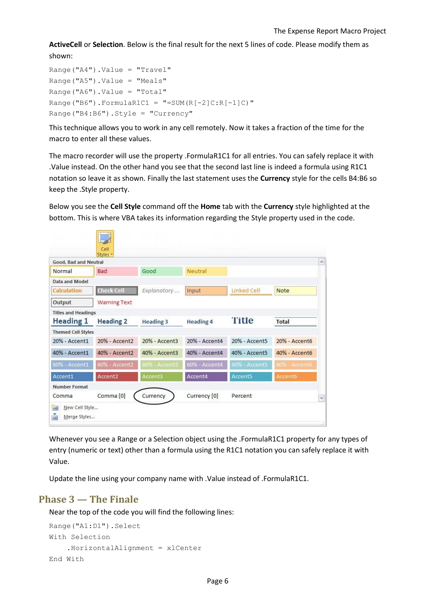**ActiveCell** or **Selection**. Below is the final result for the next 5 lines of code. Please modify them as shown:

```
Range("A4").Value = "Travel"
Range("A5").Value = "Meals" 
Range("A6").Value = "Total"
Range("B6").FormulaR1C1 = "=SUM(R[-2]C:R[-1]C)"
Range("B4:B6").Style = "Currency"
```
This technique allows you to work in any cell remotely. Now it takes a fraction of the time for the macro to enter all these values.

The macro recorder will use the property .FormulaR1C1 for all entries. You can safely replace it with .Value instead. On the other hand you see that the second last line is indeed a formula using R1C1 notation so leave it as shown. Finally the last statement uses the **Currency** style for the cells B4:B6 so keep the .Style property.

Below you see the **Cell Style** command off the **Home** tab with the **Currency** style highlighted at the bottom. This is where VBA takes its information regarding the Style property used in the code.

|                                          | Cell<br>Styles v    |                  |                  |               |               |              |
|------------------------------------------|---------------------|------------------|------------------|---------------|---------------|--------------|
| Good, Bad and Neutral                    |                     |                  |                  |               |               | $\mathbb{A}$ |
| Normal                                   | <b>Bad</b>          | Good             | Neutral          |               |               |              |
| Data and Model                           |                     |                  |                  |               |               |              |
| <b>Calculation</b>                       | <b>Check Cell</b>   | Explanatory      | Input            | Linked Cell   | Note          |              |
| Output                                   | <b>Warning Text</b> |                  |                  |               |               |              |
| <b>Titles and Headings</b>               |                     |                  |                  |               |               |              |
| <b>Heading 1</b>                         | <b>Heading 2</b>    | <b>Heading 3</b> | <b>Heading 4</b> | Title         | <b>Total</b>  |              |
| <b>Themed Cell Styles</b>                |                     |                  |                  |               |               |              |
| 20% - Accent1                            | 20% - Accent2       | 20% - Accent3    | 20% - Accent4    | 20% - Accent5 | 20% - Accent6 |              |
| 40% - Accent1                            | 40% - Accent2       | 40% - Accent3    | 40% - Accent4    | 40% - Accent5 | 40% - Accent6 |              |
| 60% - Accent1                            | 60% - Accent2       | 60% - Accent3    | 60% - Accent4    | 60% - Accent5 | 60% - Accent6 |              |
| Accent1                                  | Accent2             | Accent3          | Accent4          | Accent5       | Accent6       |              |
| <b>Number Format</b>                     |                     |                  |                  |               |               |              |
| Comma                                    | Comma [0]           | Currency         | Currency [0]     | Percent       |               | $\mathbf{v}$ |
| New Cell Style<br>津<br>ě<br>Merge Styles |                     |                  |                  |               |               | sk.          |

Whenever you see a Range or a Selection object using the .FormulaR1C1 property for any types of entry (numeric or text) other than a formula using the R1C1 notation you can safely replace it with Value.

Update the line using your company name with .Value instead of .FormulaR1C1.

# **Phase 3 — The Finale**

Near the top of the code you will find the following lines:

```
Range("A1:D1").Select
With Selection
     .HorizontalAlignment = xlCenter
End With
```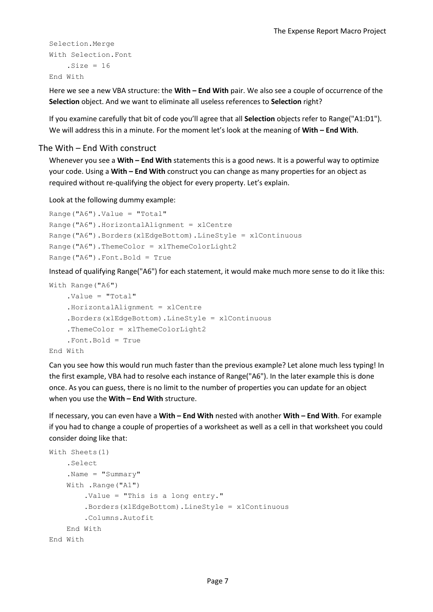```
Selection.Merge
With Selection.Font
    . Size = 16End With
```
Here we see a new VBA structure: the **With – End With** pair. We also see a couple of occurrence of the **Selection** object. And we want to eliminate all useless references to **Selection** right?

If you examine carefully that bit of code you'll agree that all **Selection** objects refer to Range("A1:D1"). We will address this in a minute. For the moment let's look at the meaning of **With – End With**.

#### The With – End With construct

Whenever you see a **With – End With** statements this is a good news. It is a powerful way to optimize your code. Using a **With – End With** construct you can change as many properties for an object as required without re-qualifying the object for every property. Let's explain.

Look at the following dummy example:

```
Range("A6").Value = "Total"
Range("A6").HorizontalAlignment = xlCentre
Range("A6").Borders(xlEdgeBottom).LineStyle = xlContinuous
Range("A6").ThemeColor = xlThemeColorLight2
Range("A6").Font.Bold = True
```
Instead of qualifying Range("A6") for each statement, it would make much more sense to do it like this:

```
With Range("A6")
     .Value = "Total"
     .HorizontalAlignment = xlCentre
     .Borders(xlEdgeBottom).LineStyle = xlContinuous
     .ThemeColor = xlThemeColorLight2
     .Font.Bold = True
End With
```
Can you see how this would run much faster than the previous example? Let alone much less typing! In the first example, VBA had to resolve each instance of Range("A6"). In the later example this is done once. As you can guess, there is no limit to the number of properties you can update for an object when you use the **With – End With** structure.

If necessary, you can even have a **With – End With** nested with another **With – End With**. For example if you had to change a couple of properties of a worksheet as well as a cell in that worksheet you could consider doing like that:

```
With Sheets(1)
     .Select
    .Name = "Summary"
     With .Range("A1")
         .Value = "This is a long entry."
         .Borders(xlEdgeBottom).LineStyle = xlContinuous
         .Columns.Autofit
     End With
End With
```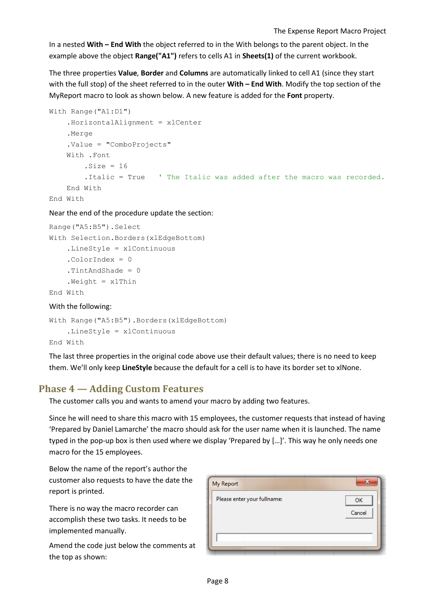In a nested **With – End With** the object referred to in the With belongs to the parent object. In the example above the object **Range("A1")** refers to cells A1 in **Sheets(1)** of the current workbook.

The three properties **Value**, **Border** and **Columns** are automatically linked to cell A1 (since they start with the full stop) of the sheet referred to in the outer **With – End With**. Modify the top section of the MyReport macro to look as shown below. A new feature is added for the **Font** property.

```
With Range("A1:D1")
     .HorizontalAlignment = xlCenter
     .Merge
     .Value = "ComboProjects"
     With .Font
        .Size = 16 .Italic = True ' The Italic was added after the macro was recorded.
     End With
End With
```
Near the end of the procedure update the section:

```
Range("A5:B5").Select
With Selection.Borders(xlEdgeBottom)
     .LineStyle = xlContinuous
     .ColorIndex = 0 
     .TintAndShade = 0
    Weight = x1ThinEnd With
```
#### With the following:

```
With Range("A5:B5").Borders(xlEdgeBottom)
     .LineStyle = xlContinuous
End With
```
The last three properties in the original code above use their default values; there is no need to keep them. We'll only keep **LineStyle** because the default for a cell is to have its border set to xlNone.

# **Phase 4 — Adding Custom Features**

The customer calls you and wants to amend your macro by adding two features.

Since he will need to share this macro with 15 employees, the customer requests that instead of having 'Prepared by Daniel Lamarche' the macro should ask for the user name when it is launched. The name typed in the pop-up box is then used where we display 'Prepared by […]'. This way he only needs one macro for the 15 employees.

Below the name of the report's author the customer also requests to have the date the report is printed.

There is no way the macro recorder can accomplish these two tasks. It needs to be implemented manually.

Amend the code just below the comments at the top as shown:

| X<br>My Report              |              |  |  |
|-----------------------------|--------------|--|--|
| Please enter your fullname: | OK<br>Cancel |  |  |
|                             |              |  |  |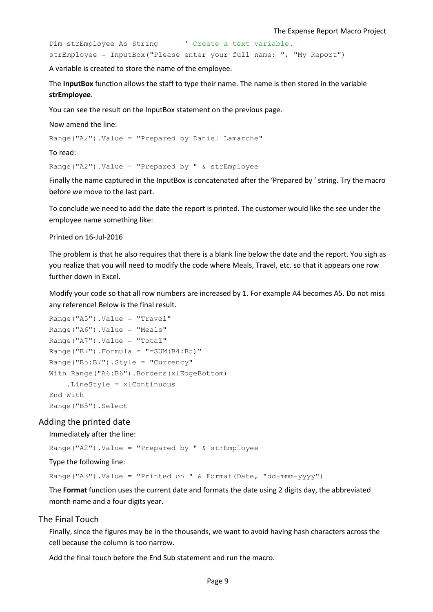Dim strEmployee As String ' Create a text variable. strEmployee = InputBox("Please enter your full name: ", "My Report")

A variable is created to store the name of the employee.

The **InputBox** function allows the staff to type their name. The name is then stored in the variable **strEmployee**.

You can see the result on the InputBox statement on the previous page.

Now amend the line:

Range("A2").Value = "Prepared by Daniel Lamarche"

To read:

Range("A2").Value = "Prepared by " & strEmployee

Finally the name captured in the InputBox is concatenated after the 'Prepared by ' string. Try the macro before we move to the last part.

To conclude we need to add the date the report is printed. The customer would like the see under the employee name something like:

Printed on 16-Jul-2016

The problem is that he also requires that there is a blank line below the date and the report. You sigh as you realize that you will need to modify the code where Meals, Travel, etc. so that it appears one row further down in Excel.

Modify your code so that all row numbers are increased by 1. For example A4 becomes A5. Do not miss any reference! Below is the final result.

```
Range("A5").Value = "Travel" 
Range("A6").Value = "Meals" 
Range("A7").Value = "Total"
Range("B7"). Formula = "=SUM(B4:B5)"Range("B5:B7").Style = "Currency"
With Range("A6:B6").Borders(xlEdgeBottom)
     .LineStyle = xlContinuous
End With
Range("B5").Select
```
#### Adding the printed date

#### Immediately after the line:

Range("A2").Value = "Prepared by " & strEmployee

Type the following line:

Range("A3").Value = "Printed on " & Format(Date, "dd-mmm-yyyy")

The **Format** function uses the current date and formats the date using 2 digits day, the abbreviated month name and a four digits year.

#### The Final Touch

Finally, since the figures may be in the thousands, we want to avoid having hash characters across the cell because the column is too narrow.

Add the final touch before the End Sub statement and run the macro.